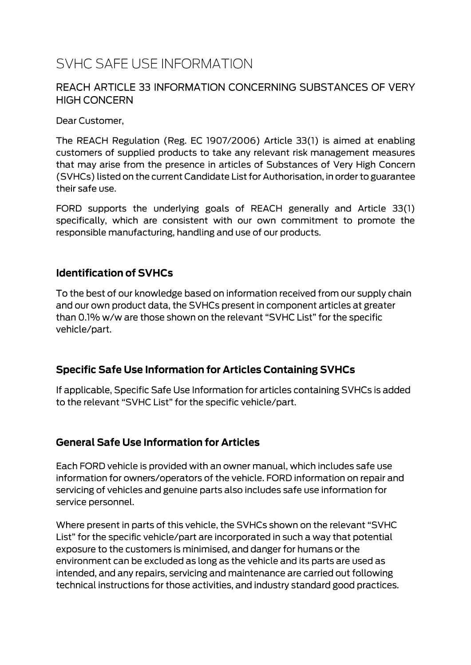# SVHC SAFE USE INFORMATION

#### REACH ARTICLE 33 INFORMATION CONCERNING SUBSTANCES OF VERY **HIGH CONCERN**

Dear Customer,

The REACH Regulation (Reg. EC 1907/2006) Article 33(1) is aimed at enabling customers of supplied products to take any relevant risk management measures that may arise from the presence in articles of Substances of Very High Concern (SVHCs) listed on the current Candidate List for Authorisation, in order to guarantee their safe use.

FORD supports the underlying goals of REACH generally and Article 33(1) specifically, which are consistent with our own commitment to promote the responsible manufacturing, handling and use of our products.

#### **Identification of SVHCs**

To the best of our knowledge based on information received from our supply chain and our own product data, the SVHCs present in component articles at greater than 0.1% w/w are those shown on the relevant "SVHC List" for the specific vehicle/part.

#### **Specific Safe Use Information for Articles Containing SVHCs**

If applicable, Specific Safe Use Information for articles containing SVHCs is added to the relevant "SVHC List" for the specific vehicle/part.

#### **General Safe Use Information for Articles**

Each FORD vehicle is provided with an owner manual, which includes safe use information for owners/operators of the vehicle. FORD information on repair and servicing of vehicles and genuine parts also includes safe use information for service personnel.

Where present in parts of this vehicle, the SVHCs shown on the relevant "SVHC List" for the specific vehicle/part are incorporated in such a way that potential exposure to the customers is minimised, and danger for humans or the environment can be excluded as long as the vehicle and its parts are used as intended, and any repairs, servicing and maintenance are carried out following technical instructions for those activities, and industry standard good practices.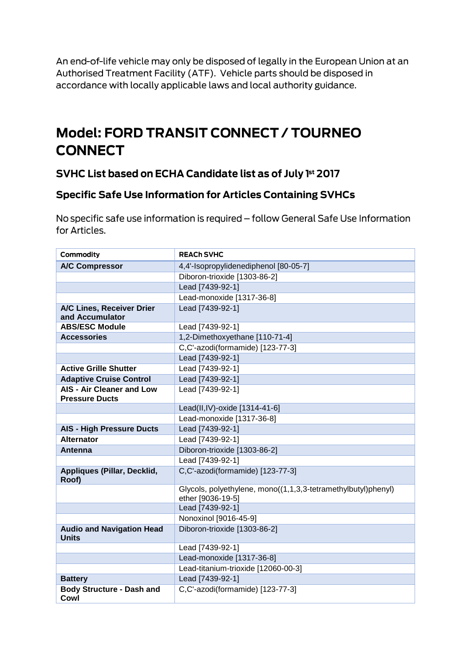An end-of-life vehicle may only be disposed of legally in the European Union at an Authorised Treatment Facility (ATF). Vehicle parts should be disposed in accordance with locally applicable laws and local authority guidance.

# Model: FORD TRANSIT CONNECT / TOURNEO **CONNECT**

### SVHC List based on ECHA Candidate list as of July 1st 2017

### **Specific Safe Use Information for Articles Containing SVHCs**

No specific safe use information is required - follow General Safe Use Information for Articles.

| Commodity                                                 | <b>REACH SVHC</b>                                                                  |
|-----------------------------------------------------------|------------------------------------------------------------------------------------|
| <b>A/C Compressor</b>                                     | 4,4'-Isopropylidenediphenol [80-05-7]                                              |
|                                                           | Diboron-trioxide [1303-86-2]                                                       |
|                                                           | Lead [7439-92-1]                                                                   |
|                                                           | Lead-monoxide [1317-36-8]                                                          |
| A/C Lines, Receiver Drier<br>and Accumulator              | Lead [7439-92-1]                                                                   |
| <b>ABS/ESC Module</b>                                     | Lead [7439-92-1]                                                                   |
| <b>Accessories</b>                                        | 1,2-Dimethoxyethane [110-71-4]                                                     |
|                                                           | C,C'-azodi(formamide) [123-77-3]                                                   |
|                                                           | Lead [7439-92-1]                                                                   |
| <b>Active Grille Shutter</b>                              | Lead [7439-92-1]                                                                   |
| <b>Adaptive Cruise Control</b>                            | Lead [7439-92-1]                                                                   |
| <b>AIS - Air Cleaner and Low</b><br><b>Pressure Ducts</b> | Lead [7439-92-1]                                                                   |
|                                                           | Lead(II,IV)-oxide [1314-41-6]                                                      |
|                                                           | Lead-monoxide [1317-36-8]                                                          |
| <b>AIS - High Pressure Ducts</b>                          | Lead [7439-92-1]                                                                   |
| <b>Alternator</b>                                         | Lead [7439-92-1]                                                                   |
| Antenna                                                   | Diboron-trioxide [1303-86-2]                                                       |
|                                                           | Lead [7439-92-1]                                                                   |
| Appliques (Pillar, Decklid,<br>Roof)                      | C,C'-azodi(formamide) [123-77-3]                                                   |
|                                                           | Glycols, polyethylene, mono((1,1,3,3-tetramethylbutyl)phenyl)<br>ether [9036-19-5] |
|                                                           | Lead [7439-92-1]                                                                   |
|                                                           | Nonoxinol [9016-45-9]                                                              |
| <b>Audio and Navigation Head</b><br><b>Units</b>          | Diboron-trioxide [1303-86-2]                                                       |
|                                                           | Lead [7439-92-1]                                                                   |
|                                                           | Lead-monoxide [1317-36-8]                                                          |
|                                                           | Lead-titanium-trioxide [12060-00-3]                                                |
| <b>Battery</b>                                            | Lead [7439-92-1]                                                                   |
| <b>Body Structure - Dash and</b><br>Cowl                  | C,C'-azodi(formamide) [123-77-3]                                                   |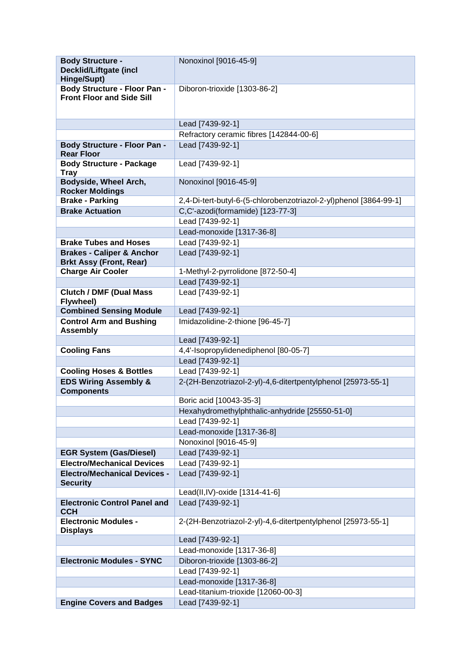| <b>Body Structure -</b><br><b>Decklid/Liftgate (incl</b><br>Hinge/Supt) | Nonoxinol [9016-45-9]                                             |
|-------------------------------------------------------------------------|-------------------------------------------------------------------|
| Body Structure - Floor Pan -<br><b>Front Floor and Side Sill</b>        | Diboron-trioxide [1303-86-2]                                      |
|                                                                         | Lead [7439-92-1]                                                  |
|                                                                         | Refractory ceramic fibres [142844-00-6]                           |
| <b>Body Structure - Floor Pan -</b>                                     | Lead [7439-92-1]                                                  |
| <b>Rear Floor</b>                                                       |                                                                   |
| <b>Body Structure - Package</b><br><b>Tray</b>                          | Lead [7439-92-1]                                                  |
| Bodyside, Wheel Arch,<br><b>Rocker Moldings</b>                         | Nonoxinol [9016-45-9]                                             |
| <b>Brake - Parking</b>                                                  | 2,4-Di-tert-butyl-6-(5-chlorobenzotriazol-2-yl)phenol [3864-99-1] |
| <b>Brake Actuation</b>                                                  | C,C'-azodi(formamide) [123-77-3]                                  |
|                                                                         | Lead [7439-92-1]                                                  |
|                                                                         | Lead-monoxide [1317-36-8]                                         |
| <b>Brake Tubes and Hoses</b>                                            | Lead [7439-92-1]                                                  |
| <b>Brakes - Caliper &amp; Anchor</b><br><b>Brkt Assy (Front, Rear)</b>  | Lead [7439-92-1]                                                  |
| <b>Charge Air Cooler</b>                                                | 1-Methyl-2-pyrrolidone [872-50-4]                                 |
|                                                                         | Lead [7439-92-1]                                                  |
| <b>Clutch / DMF (Dual Mass)</b><br>Flywheel)                            | Lead [7439-92-1]                                                  |
| <b>Combined Sensing Module</b>                                          | Lead [7439-92-1]                                                  |
| <b>Control Arm and Bushing</b><br><b>Assembly</b>                       | Imidazolidine-2-thione [96-45-7]                                  |
|                                                                         | Lead [7439-92-1]                                                  |
| <b>Cooling Fans</b>                                                     | 4,4'-Isopropylidenediphenol [80-05-7]                             |
|                                                                         | Lead [7439-92-1]                                                  |
| <b>Cooling Hoses &amp; Bottles</b>                                      | Lead [7439-92-1]                                                  |
| <b>EDS Wiring Assembly &amp;</b><br><b>Components</b>                   | 2-(2H-Benzotriazol-2-yl)-4,6-ditertpentylphenol [25973-55-1]      |
|                                                                         | Boric acid [10043-35-3]                                           |
|                                                                         | Hexahydromethylphthalic-anhydride [25550-51-0]                    |
|                                                                         | Lead [7439-92-1]                                                  |
|                                                                         | Lead-monoxide [1317-36-8]                                         |
|                                                                         | Nonoxinol [9016-45-9]                                             |
| <b>EGR System (Gas/Diesel)</b><br><b>Electro/Mechanical Devices</b>     | Lead [7439-92-1]                                                  |
| <b>Electro/Mechanical Devices -</b>                                     | Lead [7439-92-1]<br>Lead [7439-92-1]                              |
| <b>Security</b>                                                         |                                                                   |
|                                                                         | Lead(II,IV)-oxide [1314-41-6]                                     |
| <b>Electronic Control Panel and</b><br><b>CCH</b>                       | Lead [7439-92-1]                                                  |
| <b>Electronic Modules -</b><br><b>Displays</b>                          | 2-(2H-Benzotriazol-2-yl)-4,6-ditertpentylphenol [25973-55-1]      |
|                                                                         | Lead [7439-92-1]                                                  |
|                                                                         | Lead-monoxide [1317-36-8]                                         |
| <b>Electronic Modules - SYNC</b>                                        | Diboron-trioxide [1303-86-2]                                      |
|                                                                         | Lead [7439-92-1]                                                  |
|                                                                         | Lead-monoxide [1317-36-8]                                         |
|                                                                         | Lead-titanium-trioxide [12060-00-3]                               |
| <b>Engine Covers and Badges</b>                                         | Lead [7439-92-1]                                                  |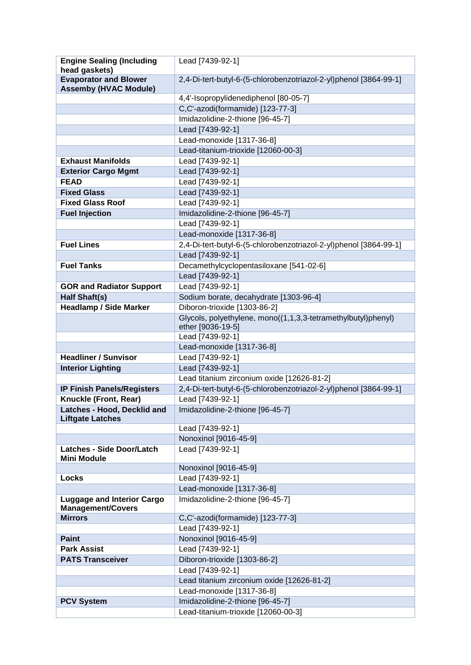| <b>Engine Sealing (Including</b>                              | Lead [7439-92-1]                                                  |
|---------------------------------------------------------------|-------------------------------------------------------------------|
| head gaskets)                                                 |                                                                   |
| <b>Evaporator and Blower</b><br><b>Assemby (HVAC Module)</b>  | 2,4-Di-tert-butyl-6-(5-chlorobenzotriazol-2-yl)phenol [3864-99-1] |
|                                                               | 4,4'-Isopropylidenediphenol [80-05-7]                             |
|                                                               | C,C'-azodi(formamide) [123-77-3]                                  |
|                                                               | Imidazolidine-2-thione [96-45-7]                                  |
|                                                               | Lead [7439-92-1]                                                  |
|                                                               | Lead-monoxide [1317-36-8]                                         |
|                                                               | Lead-titanium-trioxide [12060-00-3]                               |
| <b>Exhaust Manifolds</b>                                      | Lead [7439-92-1]                                                  |
| <b>Exterior Cargo Mgmt</b>                                    | Lead [7439-92-1]                                                  |
| <b>FEAD</b>                                                   | Lead [7439-92-1]                                                  |
| <b>Fixed Glass</b>                                            | Lead [7439-92-1]                                                  |
| <b>Fixed Glass Roof</b>                                       | Lead [7439-92-1]                                                  |
| <b>Fuel Injection</b>                                         | Imidazolidine-2-thione [96-45-7]                                  |
|                                                               | Lead [7439-92-1]                                                  |
|                                                               | Lead-monoxide [1317-36-8]                                         |
| <b>Fuel Lines</b>                                             | 2,4-Di-tert-butyl-6-(5-chlorobenzotriazol-2-yl)phenol [3864-99-1] |
|                                                               | Lead [7439-92-1]                                                  |
| <b>Fuel Tanks</b>                                             | Decamethylcyclopentasiloxane [541-02-6]                           |
|                                                               | Lead [7439-92-1]                                                  |
| <b>GOR and Radiator Support</b>                               | Lead [7439-92-1]                                                  |
| <b>Half Shaft(s)</b>                                          | Sodium borate, decahydrate [1303-96-4]                            |
| <b>Headlamp / Side Marker</b>                                 | Diboron-trioxide [1303-86-2]                                      |
|                                                               | Glycols, polyethylene, mono((1,1,3,3-tetramethylbutyl)phenyl)     |
|                                                               | ether [9036-19-5]                                                 |
|                                                               | Lead [7439-92-1]                                                  |
|                                                               | Lead-monoxide [1317-36-8]                                         |
| <b>Headliner / Sunvisor</b>                                   | Lead [7439-92-1]                                                  |
| <b>Interior Lighting</b>                                      | Lead [7439-92-1]                                                  |
|                                                               | Lead titanium zirconium oxide [12626-81-2]                        |
| <b>IP Finish Panels/Registers</b>                             | 2,4-Di-tert-butyl-6-(5-chlorobenzotriazol-2-yl)phenol [3864-99-1] |
| Knuckle (Front, Rear)                                         | Lead [7439-92-1]                                                  |
| Latches - Hood, Decklid and<br><b>Liftgate Latches</b>        | Imidazolidine-2-thione [96-45-7]                                  |
|                                                               | Lead [7439-92-1]                                                  |
|                                                               | Nonoxinol [9016-45-9]                                             |
| <b>Latches - Side Door/Latch</b><br><b>Mini Module</b>        | Lead [7439-92-1]                                                  |
|                                                               | Nonoxinol [9016-45-9]                                             |
| <b>Locks</b>                                                  | Lead [7439-92-1]                                                  |
|                                                               | Lead-monoxide [1317-36-8]                                         |
| <b>Luggage and Interior Cargo</b><br><b>Management/Covers</b> | Imidazolidine-2-thione [96-45-7]                                  |
| <b>Mirrors</b>                                                | C,C'-azodi(formamide) [123-77-3]                                  |
|                                                               | Lead [7439-92-1]                                                  |
| <b>Paint</b>                                                  | Nonoxinol [9016-45-9]                                             |
| <b>Park Assist</b>                                            | Lead [7439-92-1]                                                  |
| <b>PATS Transceiver</b>                                       | Diboron-trioxide [1303-86-2]                                      |
|                                                               | Lead [7439-92-1]                                                  |
|                                                               | Lead titanium zirconium oxide [12626-81-2]                        |
|                                                               | Lead-monoxide [1317-36-8]                                         |
| <b>PCV System</b>                                             | Imidazolidine-2-thione [96-45-7]                                  |
|                                                               | Lead-titanium-trioxide [12060-00-3]                               |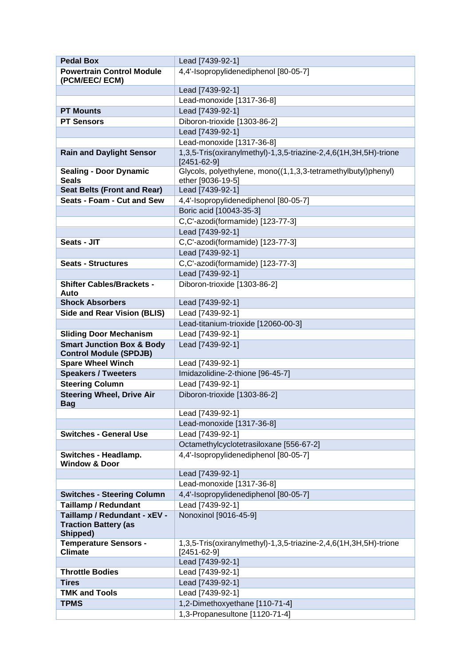| <b>Pedal Box</b>                                 | Lead [7439-92-1]                                                                      |
|--------------------------------------------------|---------------------------------------------------------------------------------------|
| <b>Powertrain Control Module</b>                 | 4,4'-Isopropylidenediphenol [80-05-7]                                                 |
| (PCM/EEC/ ECM)                                   |                                                                                       |
|                                                  | Lead [7439-92-1]                                                                      |
|                                                  | Lead-monoxide [1317-36-8]                                                             |
| <b>PT Mounts</b>                                 | Lead [7439-92-1]                                                                      |
| <b>PT Sensors</b>                                | Diboron-trioxide [1303-86-2]                                                          |
|                                                  | Lead [7439-92-1]                                                                      |
|                                                  | Lead-monoxide [1317-36-8]                                                             |
| <b>Rain and Daylight Sensor</b>                  | 1,3,5-Tris(oxiranylmethyl)-1,3,5-triazine-2,4,6(1H,3H,5H)-trione<br>$[2451 - 62 - 9]$ |
| <b>Sealing - Door Dynamic</b>                    | Glycols, polyethylene, mono((1,1,3,3-tetramethylbutyl)phenyl)                         |
| <b>Seals</b>                                     | ether [9036-19-5]                                                                     |
| <b>Seat Belts (Front and Rear)</b>               | Lead [7439-92-1]                                                                      |
| Seats - Foam - Cut and Sew                       | 4,4'-Isopropylidenediphenol [80-05-7]                                                 |
|                                                  | Boric acid [10043-35-3]                                                               |
|                                                  | C,C'-azodi(formamide) [123-77-3]                                                      |
|                                                  | Lead [7439-92-1]                                                                      |
| Seats - JIT                                      | C,C'-azodi(formamide) [123-77-3]                                                      |
|                                                  | Lead [7439-92-1]                                                                      |
| <b>Seats - Structures</b>                        | C,C'-azodi(formamide) [123-77-3]                                                      |
|                                                  | Lead [7439-92-1]                                                                      |
| <b>Shifter Cables/Brackets -</b><br>Auto         | Diboron-trioxide [1303-86-2]                                                          |
| <b>Shock Absorbers</b>                           | Lead [7439-92-1]                                                                      |
| <b>Side and Rear Vision (BLIS)</b>               | Lead [7439-92-1]                                                                      |
|                                                  | Lead-titanium-trioxide [12060-00-3]                                                   |
| <b>Sliding Door Mechanism</b>                    | Lead [7439-92-1]                                                                      |
| <b>Smart Junction Box &amp; Body</b>             | Lead [7439-92-1]                                                                      |
| <b>Control Module (SPDJB)</b>                    |                                                                                       |
| <b>Spare Wheel Winch</b>                         | Lead [7439-92-1]                                                                      |
| <b>Speakers / Tweeters</b>                       | Imidazolidine-2-thione [96-45-7]                                                      |
| <b>Steering Column</b>                           | Lead [7439-92-1]                                                                      |
| <b>Steering Wheel, Drive Air</b><br><b>Bag</b>   | Diboron-trioxide [1303-86-2]                                                          |
|                                                  | Lead [7439-92-1]                                                                      |
|                                                  | Lead-monoxide [1317-36-8]                                                             |
| <b>Switches - General Use</b>                    | Lead [7439-92-1]                                                                      |
|                                                  | Octamethylcyclotetrasiloxane [556-67-2]                                               |
| Switches - Headlamp.<br><b>Window &amp; Door</b> | 4,4'-Isopropylidenediphenol [80-05-7]                                                 |
|                                                  | Lead [7439-92-1]                                                                      |
|                                                  | Lead-monoxide [1317-36-8]                                                             |
| <b>Switches - Steering Column</b>                | 4,4'-Isopropylidenediphenol [80-05-7]                                                 |
| <b>Taillamp / Redundant</b>                      | Lead [7439-92-1]                                                                      |
| Taillamp / Redundant - xEV -                     | Nonoxinol [9016-45-9]                                                                 |
| <b>Traction Battery (as</b>                      |                                                                                       |
| Shipped)<br><b>Temperature Sensors -</b>         | 1,3,5-Tris(oxiranylmethyl)-1,3,5-triazine-2,4,6(1H,3H,5H)-trione                      |
| <b>Climate</b>                                   | $[2451 - 62 - 9]$                                                                     |
|                                                  | Lead [7439-92-1]                                                                      |
| <b>Throttle Bodies</b>                           | Lead [7439-92-1]                                                                      |
| <b>Tires</b>                                     | Lead [7439-92-1]                                                                      |
| <b>TMK and Tools</b>                             | Lead [7439-92-1]                                                                      |
| <b>TPMS</b>                                      | 1,2-Dimethoxyethane [110-71-4]                                                        |
|                                                  | 1,3-Propanesultone [1120-71-4]                                                        |